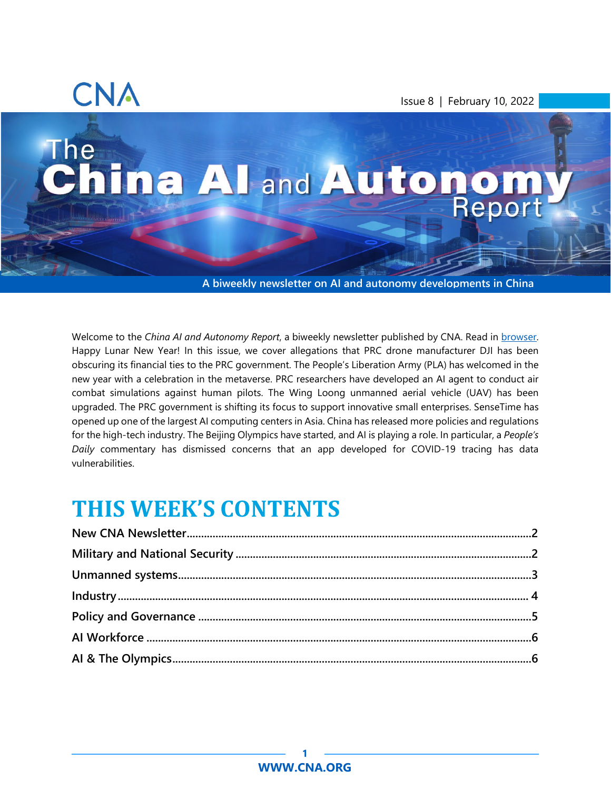

Issue 8 | February 10, 2022

# **The** The Mand Autonom,

**A biweekly newsletter on AI and autonomy developments in China**

Welcome to the *China AI and Autonomy Report*, a biweekly newsletter published by CNA. Read in [browser.](http://www.cna.org/china-ai) Happy Lunar New Year! In this issue, we cover allegations that PRC drone manufacturer DJI has been obscuring its financial ties to the PRC government. The People's Liberation Army (PLA) has welcomed in the new year with a celebration in the metaverse. PRC researchers have developed an AI agent to conduct air combat simulations against human pilots. The Wing Loong unmanned aerial vehicle (UAV) has been upgraded. The PRC government is shifting its focus to support innovative small enterprises. SenseTime has opened up one of the largest AI computing centers in Asia. China has released more policies and regulations for the high-tech industry. The Beijing Olympics have started, and AI is playing a role. In particular, a *People's Daily* commentary has dismissed concerns that an app developed for COVID-19 tracing has data vulnerabilities.

# **THIS WEEK'S CONTENTS**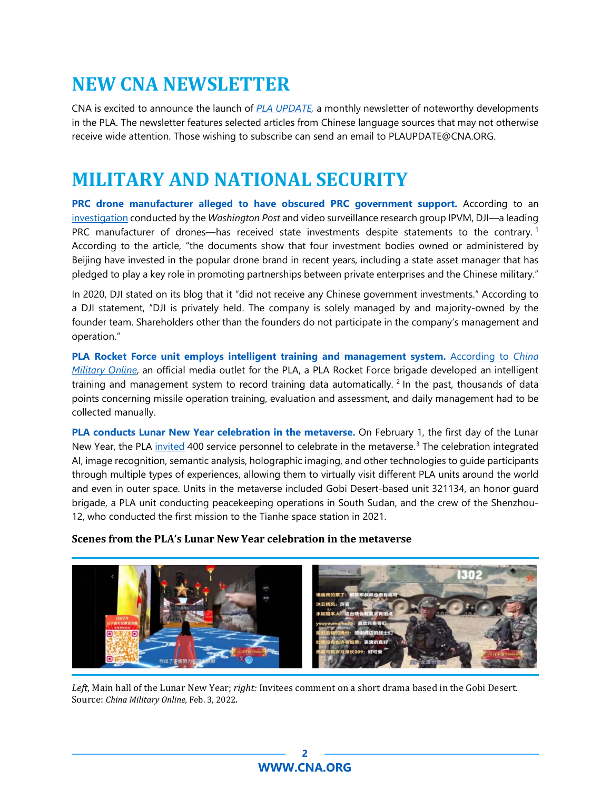# <span id="page-1-0"></span>**NEW CNA NEWSLETTER**

CNA is excited to announce the launch of *[PLA UPDATE,](https://www.cna.org/centers/cna/cip/pla-update)* a monthly newsletter of noteworthy developments in the PLA. The newsletter features selected articles from Chinese language sources that may not otherwise receive wide attention. Those wishing to subscribe can send an email to PLAUPDATE@CNA.ORG.

# <span id="page-1-1"></span>**MILITARY AND NATIONAL SECURITY**

**PRC drone manufacturer alleged to have obscured PRC government support.** According to an [investigation](https://www.washingtonpost.com/national-security/2022/02/01/china-funding-drones-dji-us-regulators/) conducted by the *Washington Post* and video surveillance research group IPVM, DJI—a leading PRC manufacturer of drones—has received state investments despite statements to the contrary.<sup>[1](#page-6-0)</sup> According to the article, "the documents show that four investment bodies owned or administered by Beijing have invested in the popular drone brand in recent years, including a state asset manager that has pledged to play a key role in promoting partnerships between private enterprises and the Chinese military."

In 2020, DJI stated on its blog that it "did not receive any Chinese government investments." According to a DJI statement, "DJI is privately held. The company is solely managed by and majority-owned by the founder team. Shareholders other than the founders do not participate in the company's management and operation."

**PLA Rocket Force unit employs intelligent training and management system.** [According to](https://www.81.cn/yw/2022-02/03/content_10128506.htm) *China [Military Online](https://www.81.cn/yw/2022-02/03/content_10128506.htm)*, an official media outlet for the PLA, a PLA Rocket Force brigade developed an intelligent training and management system to record training data automatically. <sup>[2](#page-6-1)</sup> In the past, thousands of data points concerning missile operation training, evaluation and assessment, and daily management had to be collected manually.

**PLA conducts Lunar New Year celebration in the metaverse.** On February 1, the first day of the Lunar New Year, the PLA [invited](https://www.81.cn/yw/2022-02/03/content_10128590.htm) 400 service personnel to celebrate in the metaverse.<sup>[3](#page-6-2)</sup> The celebration integrated AI, image recognition, semantic analysis, holographic imaging, and other technologies to guide participants through multiple types of experiences, allowing them to virtually visit different PLA units around the world and even in outer space. Units in the metaverse included Gobi Desert-based unit 321134, an honor guard brigade, a PLA unit conducting peacekeeping operations in South Sudan, and the crew of the Shenzhou-12, who conducted the first mission to the Tianhe space station in 2021.

#### **Scenes from the PLA's Lunar New Year celebration in the metaverse**



*Left*, Main hall of the Lunar New Year; *right:* Invitees comment on a short drama based in the Gobi Desert. Source: *China Military Online,* Feb. 3, 2022.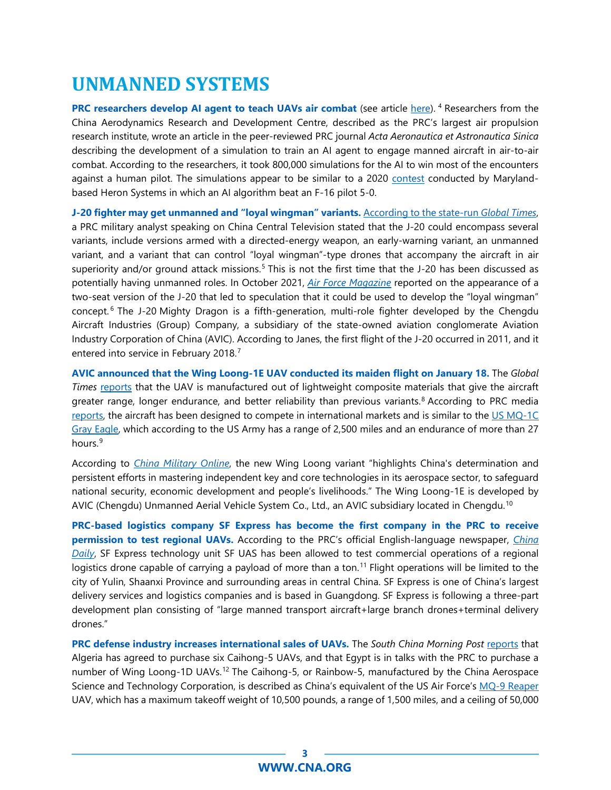# <span id="page-2-0"></span>**UNMANNED SYSTEMS**

**PRC researchers develop AI agent to teach UAVs air combat** (see article [here\)](https://www.scmp.com/news/china/science/article/3165330/chinese-ai-team-claims-big-win-battle-teach-dogfights-drones?utm_source=rss_feed). [4](#page-6-3) Researchers from the China Aerodynamics Research and Development Centre, described as the PRC's largest air propulsion research institute, wrote an article in the peer-reviewed PRC journal *Acta Aeronautica et Astronautica Sinica* describing the development of a simulation to train an AI agent to engage manned aircraft in air-to-air combat. According to the researchers, it took 800,000 simulations for the AI to win most of the encounters against a human pilot. The simulations appear to be similar to a 2020 [contest](https://breakingdefense.com/2020/08/ai-slays-top-f-16-pilot-in-darpa-dogfight-simulation/) conducted by Marylandbased Heron Systems in which an AI algorithm beat an F-16 pilot 5-0.

**J-20 fighter may get unmanned and "loyal wingman" variants.** [According to the state-run](https://www.globaltimes.cn/page/202201/1246676.shtml) *Global Times*, a PRC military analyst speaking on China Central Television stated that the J-20 could encompass several variants, include versions armed with a directed-energy weapon, an early-warning variant, an unmanned variant, and a variant that can control "loyal wingman"-type drones that accompany the aircraft in air superiority and/or ground attack missions.<sup>[5](#page-6-4)</sup> This is not the first time that the J-20 has been discussed as potentially having unmanned roles. In October 2021, *[Air Force Magazine](https://www.airforcemag.com/new-two-seat-chinese-j-20/)* reported on the appearance of a two-seat version of the J-20 that led to speculation that it could be used to develop the "loyal wingman" concept. [6](#page-6-5) The J-20 Mighty Dragon is a fifth-generation, multi-role fighter developed by the Chengdu Aircraft Industries (Group) Company, a subsidiary of the state-owned aviation conglomerate Aviation Industry Corporation of China (AVIC). According to Janes, the first flight of the J-20 occurred in 2011, and it entered into service in February 2018.<sup>[7](#page-6-6)</sup>

**AVIC announced that the Wing Loong-1E UAV conducted its maiden flight on January 18.** The *Global Times* [reports](https://www.globaltimes.cn/page/202201/1246582.shtml) that the UAV is manufactured out of lightweight composite materials that give the aircraft greater range, longer endurance, and better reliability than previous variants.<sup>[8](#page-6-7)</sup> According to PRC media [reports,](https://military.china.com/news/13004177/20220123/41030207.html) the aircraft has been designed to compete in international markets and is similar to the [US MQ-1C](https://asc.army.mil/web/portfolio-item/aviation_gray-eagle-uas/)  [Gray Eagle,](https://asc.army.mil/web/portfolio-item/aviation_gray-eagle-uas/) which according to the US Army has a range of 2,500 miles and an endurance of more than 27 hours. [9](#page-6-8)

According to *[China Military Online](http://english.chinamil.com.cn/view/2022-01/24/content_10125864.htm)*, the new Wing Loong variant "highlights China's determination and persistent efforts in mastering independent key and core technologies in its aerospace sector, to safeguard national security, economic development and people's livelihoods." The Wing Loong-1E is developed by AVIC (Chengdu) Unmanned Aerial Vehicle System Co., Ltd., an AVIC subsidiary located in Chengdu.[10](#page-6-9)

**PRC-based logistics company SF Express has become the first company in the PRC to receive permission to test regional UAVs.** According to the PRC's official English-language newspaper, *[China](https://cn.chinadaily.com.cn/a/202201/25/WS61ef7f07a3107be497a03c3b.html)  [Daily](https://cn.chinadaily.com.cn/a/202201/25/WS61ef7f07a3107be497a03c3b.html)*, SF Express technology unit SF UAS has been allowed to test commercial operations of a regional logistics drone capable of carrying a payload of more than a ton.<sup>[11](#page-6-10)</sup> Flight operations will be limited to the city of Yulin, Shaanxi Province and surrounding areas in central China. SF Express is one of China's largest delivery services and logistics companies and is based in Guangdong. SF Express is following a three-part development plan consisting of "large manned transport aircraft+large branch drones+terminal delivery drones."

**PRC defense industry increases international sales of UAVs.** The *South China Morning Post* [reports](https://www.scmp.com/news/china/military/article/3165183/chinese-drones-demand-algeria-and-egypt-eye-orders-worlds?module=perpetual_scroll_0&pgtype=article&campaign=3165183) that Algeria has agreed to purchase six Caihong-5 UAVs, and that Egypt is in talks with the PRC to purchase a number of Wing Loong-1D UAVs.<sup>[12](#page-6-11)</sup> The Caihong-5, or Rainbow-5, manufactured by the China Aerospace Science and Technology Corporation, is described as China's equivalent of the US Air Force's [MQ-9 Reaper](https://www.af.mil/About-Us/Fact-Sheets/Display/Article/104470/mq-9-reaper/) UAV, which has a maximum takeoff weight of 10,500 pounds, a range of 1,500 miles, and a ceiling of 50,000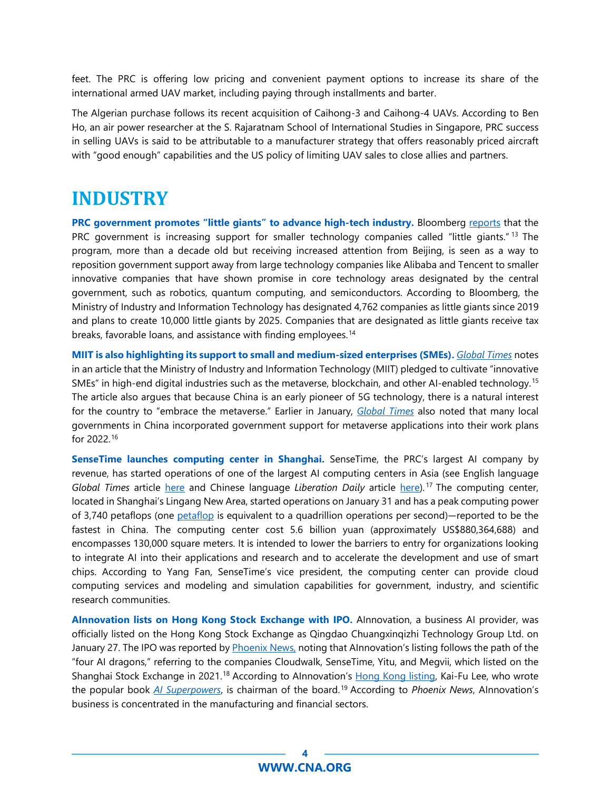feet. The PRC is offering low pricing and convenient payment options to increase its share of the international armed UAV market, including paying through installments and barter.

The Algerian purchase follows its recent acquisition of Caihong-3 and Caihong-4 UAVs. According to Ben Ho, an air power researcher at the S. Rajaratnam School of International Studies in Singapore, PRC success in selling UAVs is said to be attributable to a manufacturer strategy that offers reasonably priced aircraft with "good enough" capabilities and the US policy of limiting UAV sales to close allies and partners.

### <span id="page-3-0"></span>**INDUSTRY**

**PRC government promotes "little giants" to advance high-tech industry.** Bloomberg [reports](https://www.bloomberg.com/news/articles/2022-01-23/china-us-xi-jinping-backs-new-generation-of-startups-in-tech-war?utm_campaign=bn&utm_medium=distro&utm_source=yahooUS) that the PRC government is increasing support for smaller technology companies called "little giants." <sup>[13](#page-7-0)</sup> The program, more than a decade old but receiving increased attention from Beijing, is seen as a way to reposition government support away from large technology companies like Alibaba and Tencent to smaller innovative companies that have shown promise in core technology areas designated by the central government, such as robotics, quantum computing, and semiconductors. According to Bloomberg, the Ministry of Industry and Information Technology has designated 4,762 companies as little giants since 2019 and plans to create 10,000 little giants by 2025. Companies that are designated as little giants receive tax breaks, favorable loans, and assistance with finding employees.<sup>[14](#page-7-1)</sup>

**MIIT is also highlighting its support to small and medium-sized enterprises (SMEs).** *[Global Times](https://www.globaltimes.cn/page/202201/1246737.shtml)* notes in an article that the Ministry of Industry and Information Technology (MIIT) pledged to cultivate "innovative SMEs" in high-end digital industries such as the metaverse, blockchain, and other AI-enabled technology.<sup>[15](#page-7-2)</sup> The article also argues that because China is an early pioneer of 5G technology, there is a natural interest for the country to "embrace the metaverse." Earlier in January, *[Global Times](https://www.globaltimes.cn/page/202201/1245811.shtml?id=11)* also noted that many local governments in China incorporated government support for metaverse applications into their work plans for 2022.[16](#page-7-3)

**SenseTime launches computing center in Shanghai.** SenseTime, the PRC's largest AI company by revenue, has started operations of one of the largest AI computing centers in Asia (see English language *Global Times* article [here](https://www.globaltimes.cn/page/202201/1246734.shtml) and Chinese language *Liberation Daily* article [here\)](https://www.jfdaily.com/news/detail?id=444892). [17](#page-7-4) The computing center, located in Shanghai's Lingang New Area, started operations on January 31 and has a peak computing power of 3,740 petaflops (one [petaflop](https://www.techopedia.com/definition/2883/petaflop) is equivalent to a quadrillion operations per second)—reported to be the fastest in China. The computing center cost 5.6 billion yuan (approximately US\$880,364,688) and encompasses 130,000 square meters. It is intended to lower the barriers to entry for organizations looking to integrate AI into their applications and research and to accelerate the development and use of smart chips. According to Yang Fan, SenseTime's vice president, the computing center can provide cloud computing services and modeling and simulation capabilities for government, industry, and scientific research communities.

**AInnovation lists on Hong Kong Stock Exchange with IPO.** AInnovation, a business AI provider, was officially listed on the Hong Kong Stock Exchange as Qingdao Chuangxinqizhi Technology Group Ltd. on January 27. The IPO was reported by [Phoenix News,](https://qd.ifeng.com/c/8DB10duynOz) noting that AInnovation's listing follows the path of the "four AI dragons," referring to the companies Cloudwalk, SenseTime, Yitu, and Megvii, which listed on the Shanghai Stock Exchange in 2021.<sup>[18](#page-7-5)</sup> According to Alnnovation's [Hong Kong listing,](https://www1.hkexnews.hk/listedco/listconews/sehk/2022/0126/2022012600045.pdf) Kai-Fu Lee, who wrote the popular book *[AI Superpowers](https://www.amazon.com/AI-Superpowers-China-Silicon-Valley/dp/132854639X)*, is chairman of the board. [19](#page-7-6) According to *Phoenix News*, AInnovation's business is concentrated in the manufacturing and financial sectors.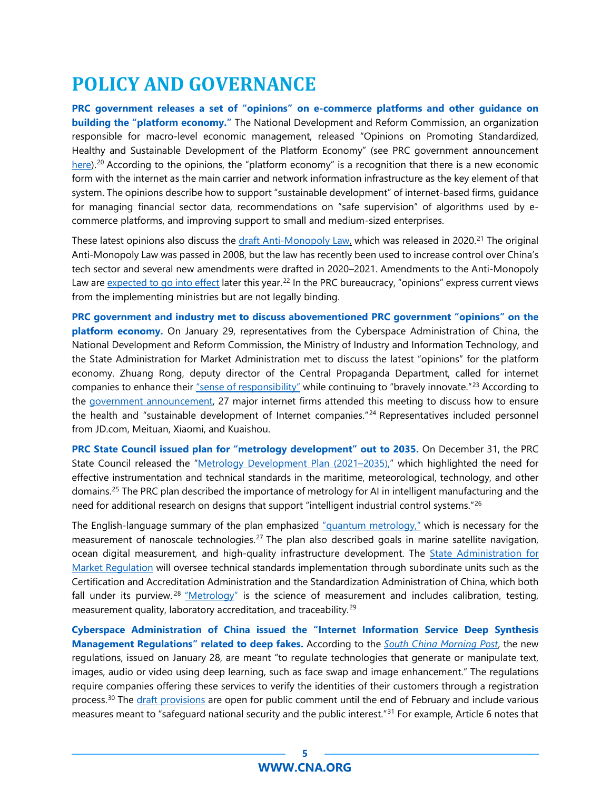# <span id="page-4-0"></span>**POLICY AND GOVERNANCE**

**PRC government releases a set of "opinions" on e-commerce platforms and other guidance on building the "platform economy."** The National Development and Reform Commission, an organization responsible for macro-level economic management, released "Opinions on Promoting Standardized, Healthy and Sustainable Development of the Platform Economy" (see PRC government announcement [here\)](http://www.gov.cn/zhengce/zhengceku/2022-01/20/content_5669431.htm).<sup>[20](#page-7-7)</sup> According to the opinions, the "platform economy" is a recognition that there is a new economic form with the internet as the main carrier and network information infrastructure as the key element of that system. The opinions describe how to support "sustainable development" of internet-based firms, guidance for managing financial sector data, recommendations on "safe supervision" of algorithms used by ecommerce platforms, and improving support to small and medium-sized enterprises.

These latest opinions also discuss the [draft Anti-Monopoly Law,](https://www.chinalawtranslate.com/en/draft-revisions-of-the-anti-monopoly-law-public-comment-draft/) which was released in 2020.<sup>[21](#page-7-8)</sup> The original Anti-Monopoly Law was passed in 2008, but the law has recently been used to increase control over China's tech sector and several new amendments were drafted in 2020–2021. Amendments to the Anti-Monopoly Law ar[e expected to go](https://www.scmp.com/tech/policy/article/3153881/china-amends-anti-monopoly-law-first-time-amid-tech-crackdown) into effect later this year.<sup>[22](#page-7-9)</sup> In the PRC bureaucracy, "opinions" express current views from the implementing ministries but are not legally binding.

**PRC government and industry met to discuss abovementioned PRC government "opinions" on the platform economy.** On January 29, representatives from the Cyberspace Administration of China, the National Development and Reform Commission, the Ministry of Industry and Information Technology, and the State Administration for Market Administration met to discuss the latest "opinions" for the platform economy. Zhuang Rong, deputy director of the Central Propaganda Department, called for internet companies to enhance their ["sense of responsibility"](http://cpc.people.com.cn/n1/2022/0130/c64387-32343462.html) while continuing to "bravely innovate."<sup>[23](#page-7-10)</sup> According to the government [announcement,](http://www.gov.cn/xinwen/2022-01/29/content_5671225.htm) 27 major internet firms attended this meeting to discuss how to ensure the health and "sustainable development of Internet companies."<sup>[24](#page-7-11)</sup> Representatives included personnel from JD.com, Meituan, Xiaomi, and Kuaishou.

**PRC State Council issued plan for "metrology development" out to 2035.** On December 31, the PRC State Council released the ["Metrology Development Plan \(2021–2035\),"](http://www.gov.cn/zhengce/zhengceku/2022-01/28/content_5670947.htm) which highlighted the need for effective instrumentation and technical standards in the maritime, meteorological, technology, and other domains.[25](#page-7-12) The PRC plan described the importance of metrology for AI in intelligent manufacturing and the need for additional research on designs that support "intelligent industrial control systems."[26](#page-7-13)

The English-language summary of the plan emphasized ["quantum metrology,"](http://www.china.org.cn/china/2022-01/29/content_78018494.htm) which is necessary for the measurement of nanoscale technologies.[27](#page-7-14) The plan also described goals in marine satellite navigation, ocean digital measurement, and high-quality infrastructure development. The **State Administration for** [Market Regulation](https://www.uschina.org/sites/default/files/samr_organization_chart.pdf) will oversee technical standards implementation through subordinate units such as the Certification and Accreditation Administration and the Standardization Administration of China, which both fall under its purview.<sup>[28](#page-7-15)</sup> ["Metrology"](https://www.nist.gov/metrology) is the science of measurement and includes calibration, testing, measurement quality, laboratory accreditation, and traceability.<sup>[29](#page-7-16)</sup>

**Cyberspace Administration of China issued the "Internet Information Service Deep Synthesis Management Regulations" related to deep fakes.** According to the *[South China Morning Post](https://www.scmp.com/tech/policy/article/3165244/china-targets-deepfakes-proposed-regulation-governing-deep-learning-ai)*, the new regulations, issued on January 28, are meant "to regulate technologies that generate or manipulate text, images, audio or video using deep learning, such as face swap and image enhancement." The regulations require companies offering these services to verify the identities of their customers through a registration process.<sup>[30](#page-8-0)</sup> The *draft provisions* are open for public comment until the end of February and include various measures meant to "safeguard national security and the public interest."[31](#page-8-1) For example, Article 6 notes that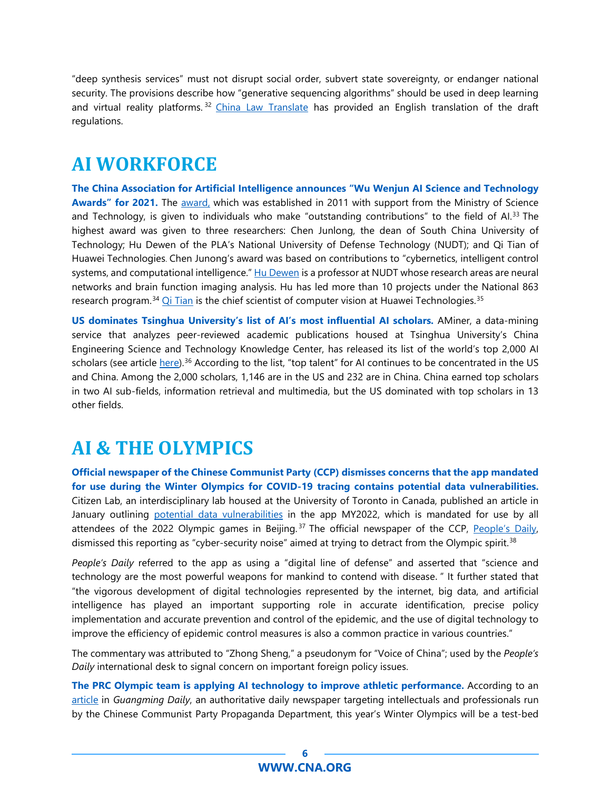"deep synthesis services" must not disrupt social order, subvert state sovereignty, or endanger national security. The provisions describe how "generative sequencing algorithms" should be used in deep learning and virtual reality platforms.<sup>[32](#page-8-2)</sup> [China Law Translate](https://www.chinalawtranslate.com/en/deep-synthesis-draft/) has provided an English translation of the draft regulations.

## <span id="page-5-0"></span>**AI WORKFORCE**

**The China Association for Artificial Intelligence announces "Wu Wenjun AI Science and Technology Awards" for 2021.** The [award,](https://www.wenweipo.com/a/202201/28/AP61f3ca1de4b03103e0c6de5d.html.) which was established in 2011 with support from the Ministry of Science and Technology, is given to individuals who make "outstanding contributions" to the field of Al.<sup>[33](#page-8-3)</sup> The highest award was given to three researchers: Chen Junlong, the dean of South China University of Technology; Hu Dewen of the PLA's National University of Defense Technology (NUDT); and Qi Tian of Huawei Technologies. Chen Junong's award was based on contributions to "cybernetics, intelligent control systems, and computational intelligence." [Hu Dewen](http://www.paper.edu.cn/scholar/person/NUz2IN4IMTT0kx2h) is a professor at NUDT whose research areas are neural networks and brain function imaging analysis. Hu has led more than 10 projects under the National 863 research program.<sup>[34](#page-8-4)</sup> [Qi Tian](http://dev3.noahlab.com.hk/Computer_vision_expert_Qi_Tian.html) is the chief scientist of computer vision at Huawei Technologies.<sup>[35](#page-8-5)</sup>

**US dominates Tsinghua University's list of AI's most influential AI scholars.** AMiner, a data-mining service that analyzes peer-reviewed academic publications housed at Tsinghua University's China Engineering Science and Technology Knowledge Center, has released its list of the world's top 2,000 AI scholars (see article <u>here</u>).<sup>[36](#page-8-6)</sup> According to the list, "top talent" for AI continues to be concentrated in the US and China. Among the 2,000 scholars, 1,146 are in the US and 232 are in China. China earned top scholars in two AI sub-fields, information retrieval and multimedia, but the US dominated with top scholars in 13 other fields.

# <span id="page-5-1"></span>**AI & THE OLYMPICS**

**Official newspaper of the Chinese Communist Party (CCP) dismisses concerns that the app mandated for use during the Winter Olympics for COVID-19 tracing contains potential data vulnerabilities.**  [Citizen Lab,](https://citizenlab.ca/about/) an interdisciplinary lab housed at the University of Toronto in Canada, published an article in January outlining [potential data vulnerabilities](https://citizenlab.ca/2022/01/cross-country-exposure-analysis-my2022-olympics-app/) in the app MY2022, which is mandated for use by all attendees of the 2022 Olympic games in Beijing.<sup>[37](#page-8-7)</sup> The official newspaper of the CCP, <u>People's Daily</u>, dismissed this reporting as "cyber-security noise" aimed at trying to detract from the Olympic spirit.<sup>[38](#page-8-8)</sup>

*People's Daily* referred to the app as using a "digital line of defense" and asserted that "science and technology are the most powerful weapons for mankind to contend with disease." It further stated that "the vigorous development of digital technologies represented by the internet, big data, and artificial intelligence has played an important supporting role in accurate identification, precise policy implementation and accurate prevention and control of the epidemic, and the use of digital technology to improve the efficiency of epidemic control measures is also a common practice in various countries."

The commentary was attributed to "Zhong Sheng," a pseudonym for "Voice of China"; used by the *People's Daily* international desk to signal concern on important foreign policy issues.

**The PRC Olympic team is applying AI technology to improve athletic performance.** According to an [article](http://www.qstheory.cn/qshyjx/2022-01/27/c_1128305672.htm) in *Guangming Daily*, an authoritative daily newspaper targeting intellectuals and professionals run by the Chinese Communist Party Propaganda Department, this year's Winter Olympics will be a test-bed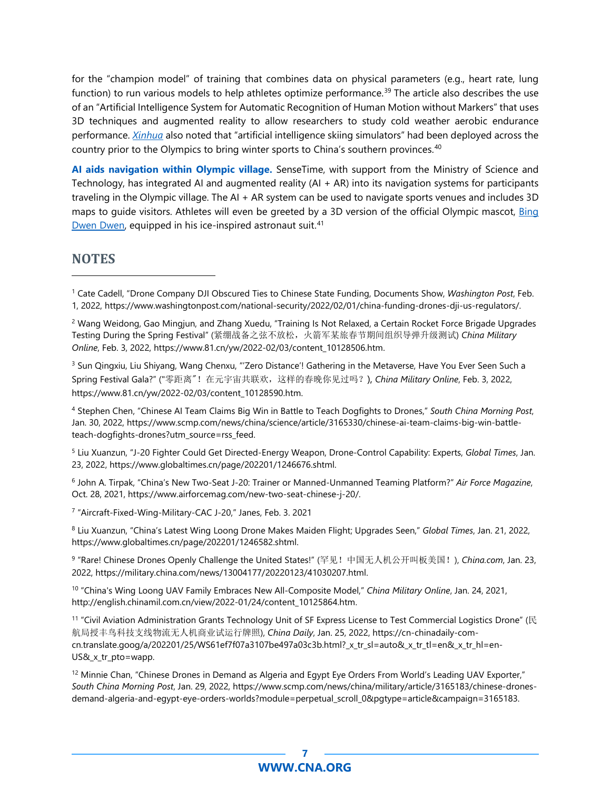for the "champion model" of training that combines data on physical parameters (e.g., heart rate, lung function) to run various models to help athletes optimize performance.<sup>[39](#page-8-9)</sup> The article also describes the use of an "Artificial Intelligence System for Automatic Recognition of Human Motion without Markers" that uses 3D techniques and augmented reality to allow researchers to study cold weather aerobic endurance performance. *[Xinhua](http://www.china.org.cn/china/Off_the_Wire/2022-01/31/content_78022276.htm)* also noted that "artificial intelligence skiing simulators" had been deployed across the country prior to the Olympics to bring winter sports to China's southern provinces.<sup>[40](#page-8-10)</sup>

**AI aids navigation within Olympic village.** SenseTime, with support from the Ministry of Science and Technology, has integrated AI and augmented reality (AI + AR) into its navigation systems for participants traveling in the Olympic village. The AI + AR system can be used to navigate sports venues and includes 3D maps to guide visitors. Athletes will even be greeted by a 3D version of the official Olympic mascot, [Bing](https://www.youtube.com/watch?v=gByVBkJN83E)  [Dwen Dwen,](https://www.youtube.com/watch?v=gByVBkJN83E) equipped in his ice-inspired astronaut suit.<sup>41</sup>

#### **NOTES**

<span id="page-6-2"></span><sup>3</sup> Sun Qingxiu, Liu Shiyang, Wang Chenxu, "'Zero Distance'! Gathering in the Metaverse, Have You Ever Seen Such a Spring Festival Gala?" ("零距离"!在元宇宙共联欢,这样的春晚你见过吗?), *China Military Online*, Feb. 3, 2022, https://www.81.cn/yw/2022-02/03/content\_10128590.htm.

<span id="page-6-3"></span><sup>4</sup> Stephen Chen, "Chinese AI Team Claims Big Win in Battle to Teach Dogfights to Drones," *South China Morning Post*, Jan. 30, 2022, https://www.scmp.com/news/china/science/article/3165330/chinese-ai-team-claims-big-win-battleteach-dogfights-drones?utm\_source=rss\_feed.

<span id="page-6-4"></span><sup>5</sup> Liu Xuanzun, "J-20 Fighter Could Get Directed-Energy Weapon, Drone-Control Capability: Experts, *Global Times*, Jan. 23, 2022, https://www.globaltimes.cn/page/202201/1246676.shtml.

<span id="page-6-5"></span><sup>6</sup> John A. Tirpak, "China's New Two-Seat J-20: Trainer or Manned-Unmanned Teaming Platform?" *Air Force Magazine*, Oct. 28, 2021, https://www.airforcemag.com/new-two-seat-chinese-j-20/.

<span id="page-6-6"></span><sup>7</sup> "Aircraft-Fixed-Wing-Military-CAC J-20," Janes, Feb. 3. 2021

<span id="page-6-7"></span><sup>8</sup> Liu Xuanzun, "China's Latest Wing Loong Drone Makes Maiden Flight; Upgrades Seen," *Global Times*, Jan. 21, 2022, https://www.globaltimes.cn/page/202201/1246582.shtml.

<span id="page-6-8"></span><sup>9</sup> "Rare! Chinese Drones Openly Challenge the United States!" (罕见!中国无人机公开叫板美国!), *China.com*, Jan. 23, 2022, https://military.china.com/news/13004177/20220123/41030207.html.

<span id="page-6-9"></span><sup>10</sup> "China's Wing Loong UAV Family Embraces New All-Composite Model," *China Military Online*, Jan. 24, 2021, http://english.chinamil.com.cn/view/2022-01/24/content\_10125864.htm.

<span id="page-6-10"></span><sup>11</sup> "Civil Aviation Administration Grants Technology Unit of SF Express License to Test Commercial Logistics Drone" (民 航局授丰鸟科技支线物流无人机商业试运行牌照), *China Daily*, Jan. 25, 2022, https://cn-chinadaily-comcn.translate.goog/a/202201/25/WS61ef7f07a3107be497a03c3b.html? x tr sl=auto& x tr tl=en& x tr hl=en-US&\_x\_tr\_pto=wapp.

<span id="page-6-11"></span><sup>12</sup> Minnie Chan, "Chinese Drones in Demand as Algeria and Egypt Eye Orders From World's Leading UAV Exporter," *South China Morning Post*, Jan. 29, 2022, https://www.scmp.com/news/china/military/article/3165183/chinese-dronesdemand-algeria-and-egypt-eye-orders-worlds?module=perpetual\_scroll\_0&pgtype=article&campaign=3165183.

<span id="page-6-0"></span><sup>1</sup> Cate Cadell, "Drone Company DJI Obscured Ties to Chinese State Funding, Documents Show, *Washington Post*, Feb. 1, 2022, https://www.washingtonpost.com/national-security/2022/02/01/china-funding-drones-dji-us-regulators/.

<span id="page-6-1"></span><sup>2</sup> Wang Weidong, Gao Mingjun, and Zhang Xuedu, "Training Is Not Relaxed, a Certain Rocket Force Brigade Upgrades Testing During the Spring Festival" (紧绷战备之弦不放松,火箭军某旅春节期间组织导弹升级测试) *China Military Online*, Feb. 3, 2022, https://www.81.cn/yw/2022-02/03/content\_10128506.htm.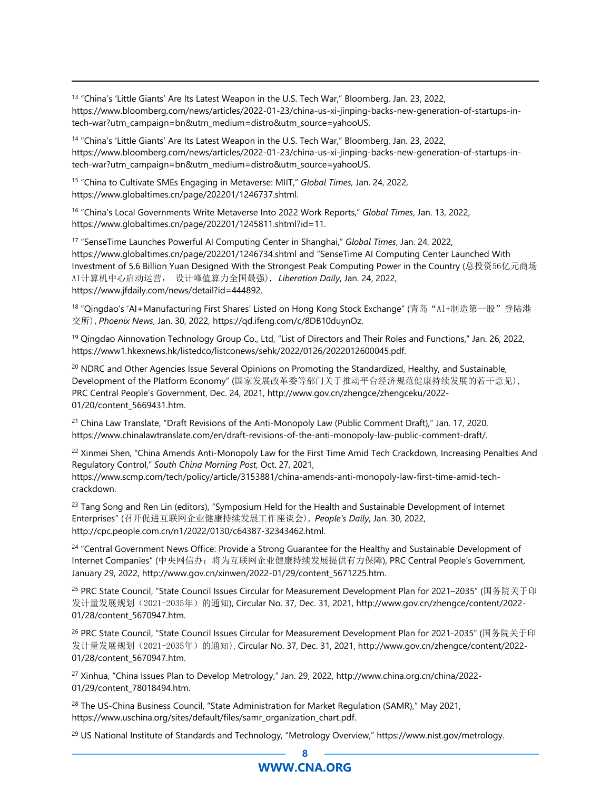<span id="page-7-0"></span><sup>13</sup> "China's 'Little Giants' Are Its Latest Weapon in the U.S. Tech War," Bloomberg, Jan. 23, 2022, https://www.bloomberg.com/news/articles/2022-01-23/china-us-xi-jinping-backs-new-generation-of-startups-intech-war?utm\_campaign=bn&utm\_medium=distro&utm\_source=yahooUS.

<span id="page-7-1"></span><sup>14</sup> "China's 'Little Giants' Are Its Latest Weapon in the U.S. Tech War," Bloomberg, Jan. 23, 2022, https://www.bloomberg.com/news/articles/2022-01-23/china-us-xi-jinping-backs-new-generation-of-startups-intech-war?utm\_campaign=bn&utm\_medium=distro&utm\_source=yahooUS.

<span id="page-7-2"></span><sup>15</sup> "China to Cultivate SMEs Engaging in Metaverse: MIIT," *Global Times,* Jan. 24, 2022, https://www.globaltimes.cn/page/202201/1246737.shtml.

<span id="page-7-3"></span><sup>16</sup> "China's Local Governments Write Metaverse Into 2022 Work Reports," *Global Times*, Jan. 13, 2022, https://www.globaltimes.cn/page/202201/1245811.shtml?id=11.

<span id="page-7-4"></span><sup>17</sup> "SenseTime Launches Powerful AI Computing Center in Shanghai," *Global Times*, Jan. 24, 2022, https://www.globaltimes.cn/page/202201/1246734.shtml and "SenseTime AI Computing Center Launched With Investment of 5.6 Billion Yuan Designed With the Strongest Peak Computing Power in the Country (总投资56亿元商场 AI计算机中心启动运营, 设计峰值算力全国最强), *Liberation Daily*, Jan. 24, 2022, https://www.jfdaily.com/news/detail?id=444892.

<span id="page-7-5"></span><sup>18</sup> "Qingdao's 'AI+Manufacturing First Shares' Listed on Hong Kong Stock Exchange" (青岛"AI+制造第一股"登陆港 交所),*Phoenix News*, Jan. 30, 2022, https://qd.ifeng.com/c/8DB10duynOz.

<span id="page-7-6"></span><sup>19</sup> Qingdao Ainnovation Technology Group Co., Ltd, "List of Directors and Their Roles and Functions," Jan. 26, 2022, https://www1.hkexnews.hk/listedco/listconews/sehk/2022/0126/2022012600045.pdf.

<span id="page-7-7"></span><sup>20</sup> NDRC and Other Agencies Issue Several Opinions on Promoting the Standardized, Healthy, and Sustainable, Development of the Platform Economy" (国家发展改革委等部门关于推动平台经济规范健康持续发展的若干意见), PRC Central People's Government, Dec. 24, 2021, http://www.gov.cn/zhengce/zhengceku/2022- 01/20/content\_5669431.htm.

<span id="page-7-8"></span><sup>21</sup> China Law Translate, "Draft Revisions of the Anti-Monopoly Law (Public Comment Draft)," Jan. 17, 2020, https://www.chinalawtranslate.com/en/draft-revisions-of-the-anti-monopoly-law-public-comment-draft/.

<span id="page-7-9"></span><sup>22</sup> Xinmei Shen, "China Amends Anti-Monopoly Law for the First Time Amid Tech Crackdown, Increasing Penalties And Regulatory Control," *South China Morning Post*, Oct. 27, 2021, https://www.scmp.com/tech/policy/article/3153881/china-amends-anti-monopoly-law-first-time-amid-techcrackdown.

<span id="page-7-10"></span><sup>23</sup> Tang Song and Ren Lin (editors), "Symposium Held for the Health and Sustainable Development of Internet Enterprises" (召开促进互联网企业健康持续发展工作座谈会), *People's Daily*, Jan. 30, 2022, http://cpc.people.com.cn/n1/2022/0130/c64387-32343462.html.

<span id="page-7-11"></span><sup>24</sup> "Central Government News Office: Provide a Strong Guarantee for the Healthy and Sustainable Development of Internet Companies" (中央网信办:将为互联网企业健康持续发展提供有力保障), PRC Central People's Government, January 29, 2022, http://www.gov.cn/xinwen/2022-01/29/content\_5671225.htm.

<span id="page-7-12"></span><sup>25</sup> PRC State Council, "State Council Issues Circular for Measurement Development Plan for 2021–2035" (国务院关于印 发计量发展规划(2021-2035年)的通知), Circular No. 37, Dec. 31, 2021, http://www.gov.cn/zhengce/content/2022-01/28/content\_5670947.htm.

<span id="page-7-13"></span><sup>26</sup> PRC State Council, "State Council Issues Circular for Measurement Development Plan for 2021-2035" (国务院关于印 发计量发展规划(2021-2035年)的通知), Circular No. 37, Dec. 31, 2021, http://www.gov.cn/zhengce/content/2022-01/28/content\_5670947.htm.

<span id="page-7-14"></span><sup>27</sup> Xinhua, "China Issues Plan to Develop Metrology," Jan. 29, 2022, http://www.china.org.cn/china/2022- 01/29/content\_78018494.htm.

<span id="page-7-15"></span><sup>28</sup> The US-China Business Council, "State Administration for Market Regulation (SAMR)," May 2021, https://www.uschina.org/sites/default/files/samr\_organization\_chart.pdf.

<span id="page-7-16"></span><sup>29</sup> US National Institute of Standards and Technology, "Metrology Overview," https://www.nist.gov/metrology.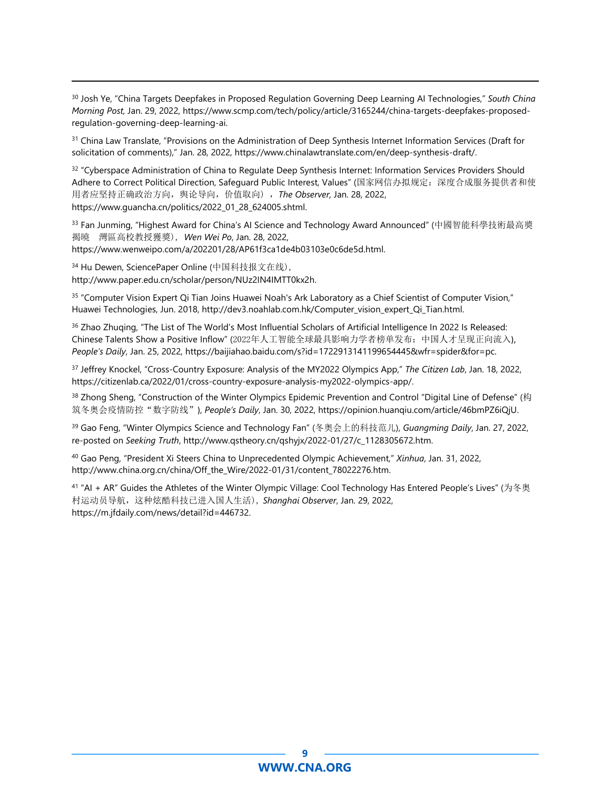<span id="page-8-0"></span><sup>30</sup> Josh Ye, "China Targets Deepfakes in Proposed Regulation Governing Deep Learning AI Technologies," *South China Morning Post,* Jan. 29, 2022, https://www.scmp.com/tech/policy/article/3165244/china-targets-deepfakes-proposedregulation-governing-deep-learning-ai.

<span id="page-8-1"></span><sup>31</sup> China Law Translate, "Provisions on the Administration of Deep Synthesis Internet Information Services (Draft for solicitation of comments)," Jan. 28, 2022, https://www.chinalawtranslate.com/en/deep-synthesis-draft/.

<span id="page-8-2"></span><sup>32</sup> "Cyberspace Administration of China to Regulate Deep Synthesis Internet: Information Services Providers Should Adhere to Correct Political Direction, Safeguard Public Interest, Values" (国家网信办拟规定:深度合成服务提供者和使 用者应坚持正确政治方向,舆论导向,价值取向) ,*The Observer,* Jan. 28, 2022, https://www.guancha.cn/politics/2022\_01\_28\_624005.shtml.

<span id="page-8-3"></span><sup>33</sup> Fan Junming, "Highest Award for China's AI Science and Technology Award Announced" (中國智能科學技術最高獎 揭曉 灣區高校教授獲獎), *Wen Wei Po*, Jan. 28, 2022, https://www.wenweipo.com/a/202201/28/AP61f3ca1de4b03103e0c6de5d.html.

<span id="page-8-4"></span><sup>34</sup> Hu Dewen, SciencePaper Online (中国科技报文在线), http://www.paper.edu.cn/scholar/person/NUz2IN4IMTT0kx2h.

<span id="page-8-5"></span><sup>35</sup> "Computer Vision Expert Qi Tian Joins Huawei Noah's Ark Laboratory as a Chief Scientist of Computer Vision," Huawei Technologies, Jun. 2018, http://dev3.noahlab.com.hk/Computer\_vision\_expert\_Qi\_Tian.html.

<span id="page-8-6"></span><sup>36</sup> Zhao Zhuging, "The List of The World's Most Influential Scholars of Artificial Intelligence In 2022 Is Released: Chinese Talents Show a Positive Inflow" (2022年人工智能全球最具影响力学者榜单发布:中国人才呈现正向流入), *People's Daily*, Jan. 25, 2022, https://baijiahao.baidu.com/s?id=1722913141199654445&wfr=spider&for=pc.

<span id="page-8-7"></span><sup>37</sup> Jeffrey Knockel, "Cross-Country Exposure: Analysis of the MY2022 Olympics App," *The Citizen Lab*, Jan. 18, 2022, https://citizenlab.ca/2022/01/cross-country-exposure-analysis-my2022-olympics-app/.

<span id="page-8-8"></span><sup>38</sup> Zhong Sheng, "Construction of the Winter Olympics Epidemic Prevention and Control "Digital Line of Defense" (构 筑冬奥会疫情防控"数字防线"), *People's Daily*, Jan. 30, 2022, https://opinion.huanqiu.com/article/46bmPZ6iQjU.

<span id="page-8-9"></span><sup>39</sup> Gao Feng, "Winter Olympics Science and Technology Fan" (冬奥会上的科技范儿), *Guangming Daily*, Jan. 27, 2022, re-posted on *Seeking Truth*, http://www.qstheory.cn/qshyjx/2022-01/27/c\_1128305672.htm.

<span id="page-8-10"></span><sup>40</sup> Gao Peng, "President Xi Steers China to Unprecedented Olympic Achievement," *Xinhua*, Jan. 31, 2022, http://www.china.org.cn/china/Off\_the\_Wire/2022-01/31/content\_78022276.htm.

<span id="page-8-11"></span><sup>41</sup> "AI + AR" Guides the Athletes of the Winter Olympic Village: Cool Technology Has Entered People's Lives" (为冬奥 村运动员导航,这种炫酷科技已进入国人生活), *Shanghai Observer*, Jan. 29, 2022, https://m.jfdaily.com/news/detail?id=446732.